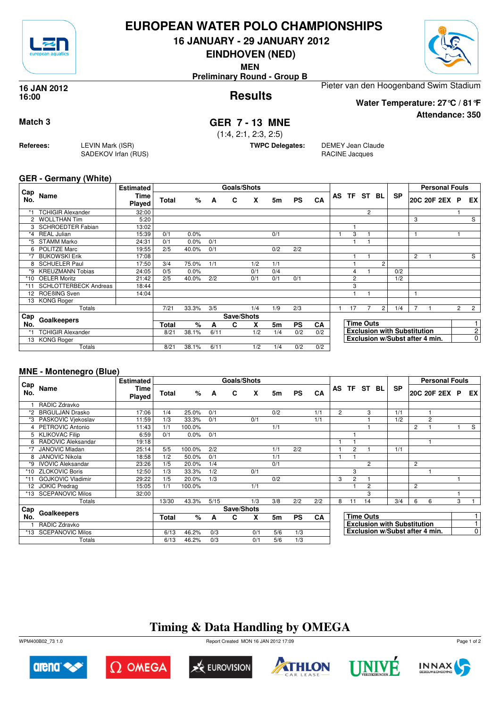

## **EUROPEAN WATER POLO CHAMPIONSHIPS**

**16 JANUARY - 29 JANUARY 2012**

**EINDHOVEN (NED)**

**MEN**

**Preliminary Round - Group B**

### **Results 16 JAN 2012 16:00**

Pieter van den Hoogenband Swim Stadium

**Water Temperature: 27°C / 81°F**

**Attendance: 350**

## **Match 3 GER 7 - 13 MNE**

(1:4, 2:1, 2:3, 2:5)

**TWPC Delegates:** DEMEY Jean Claude RACINE Jacques

### **GER - Germany (White)**

**Referees:** LEVIN Mark (ISR)

SADEKOV Irfan (RUS)

| Cap                  |                              | <b>Estimated</b>      |              |       |      | <b>Goals/Shots</b> |     |     |           |           |    |                |                  |                |                                    |                | <b>Personal Fouls</b>          |                |                |
|----------------------|------------------------------|-----------------------|--------------|-------|------|--------------------|-----|-----|-----------|-----------|----|----------------|------------------|----------------|------------------------------------|----------------|--------------------------------|----------------|----------------|
| No.                  | Name                         | <b>Time</b><br>Played | <b>Total</b> | %     | A    | C                  | X   | 5m  | <b>PS</b> | CA        | AS | TF.            | ST               | BL             | <b>SP</b>                          |                | 20C 20F 2EX P                  |                | EX             |
| *1                   | <b>TCHIGIR Alexander</b>     | 32:00                 |              |       |      |                    |     |     |           |           |    |                | $\overline{2}$   |                |                                    |                |                                |                |                |
| $\mathbf{2}^{\circ}$ | <b>WOLLTHAN Tim</b>          | 5:20                  |              |       |      |                    |     |     |           |           |    |                |                  |                |                                    | 3              |                                |                | S              |
|                      | <b>SCHROEDTER Fabian</b>     | 13:02                 |              |       |      |                    |     |     |           |           |    |                |                  |                |                                    |                |                                |                |                |
| $*_{4}$              | <b>REAL Julian</b>           | 15:39                 | 0/1          | 0.0%  |      |                    |     | 0/1 |           |           |    | 3              |                  |                |                                    |                |                                |                |                |
| *5                   | <b>STAMM Marko</b>           | 24:31                 | 0/1          | 0.0%  | 0/1  |                    |     |     |           |           |    |                |                  |                |                                    |                |                                |                |                |
| 6                    | <b>POLITZE Marc</b>          | 19:55                 | 2/5          | 40.0% | 0/1  |                    |     | 0/2 | 2/2       |           |    |                |                  |                |                                    |                |                                |                |                |
| *7                   | <b>BUKOWSKI Erik</b>         | 17:08                 |              |       |      |                    |     |     |           |           |    |                |                  |                |                                    | $\overline{2}$ |                                |                | S              |
| 8                    | <b>SCHUELER Paul</b>         | 17:50                 | 3/4          | 75.0% | 1/1  |                    | 1/2 | 1/1 |           |           |    |                |                  | $\overline{2}$ |                                    |                |                                |                |                |
| $*9$                 | <b>KREUZMANN Tobias</b>      | 24:05                 | 0/5          | 0.0%  |      |                    | 0/1 | 0/4 |           |           |    | $\overline{4}$ |                  |                | 0/2                                |                |                                |                |                |
| *10                  | <b>OELER Moritz</b>          | 21:42                 | 2/5          | 40.0% | 2/2  |                    | 0/1 | 0/1 | 0/1       |           |    | $\overline{2}$ |                  |                | 1/2                                |                |                                |                |                |
| *11                  | <b>SCHLOTTERBECK Andreas</b> | 18:44                 |              |       |      |                    |     |     |           |           |    | 3              |                  |                |                                    |                |                                |                |                |
| 12 <sup>2</sup>      | ROEBING Sven                 | 14:04                 |              |       |      |                    |     |     |           |           |    | ٠              |                  |                |                                    |                |                                |                |                |
| 13                   | <b>KONG Roger</b>            |                       |              |       |      |                    |     |     |           |           |    |                |                  |                |                                    |                |                                |                |                |
|                      | Totals                       |                       | 7/21         | 33.3% | 3/5  |                    | 1/4 | 1/9 | 2/3       |           |    | 17             |                  | $\overline{2}$ | 1/4                                |                |                                | $\overline{2}$ | $\overline{2}$ |
| Cap                  | Goalkeepers                  |                       |              |       |      | Save/Shots         |     |     |           |           |    |                |                  |                |                                    |                |                                |                |                |
| No.                  |                              |                       | <b>Total</b> | $\%$  | A    | C                  | X   | 5m  | <b>PS</b> | <b>CA</b> |    |                | <b>Time Outs</b> |                |                                    |                |                                |                |                |
|                      | <b>TCHIGIR Alexander</b>     |                       | 8/21         | 38.1% | 6/11 |                    | 1/2 | 1/4 | 0/2       | 0/2       |    |                |                  |                | <b>Exclusion with Substitution</b> |                |                                |                | $\overline{2}$ |
|                      | 13 KONG Roger                |                       |              |       |      |                    |     |     |           |           |    |                |                  |                |                                    |                | Exclusion w/Subst after 4 min. |                | 0              |
|                      | Totals                       |                       | 8/21         | 38.1% | 6/11 |                    | 1/2 | 1/4 | 0/2       | 0/2       |    |                |                  |                |                                    |                |                                |                |                |

## **MNE - Montenegro (Blue)**

|                 |                          | <b>Estimated</b>             |       |        |      | Goals/Shots |     |     |           |     |                |                  |                |  |                                    |                | <b>Personal Fouls</b> |   |                |
|-----------------|--------------------------|------------------------------|-------|--------|------|-------------|-----|-----|-----------|-----|----------------|------------------|----------------|--|------------------------------------|----------------|-----------------------|---|----------------|
| Cap<br>No.      | Name                     | <b>Time</b><br><b>Played</b> | Total | %      | A    | C           | X   | 5m  | <b>PS</b> | CA  |                |                  | AS TF ST BL    |  | <b>SP</b>                          |                | 20C 20F 2EX P         |   | EX I           |
|                 | RADIC Zdravko            |                              |       |        |      |             |     |     |           |     |                |                  |                |  |                                    |                |                       |   |                |
| *2              | <b>BRGULJAN Drasko</b>   | 17:06                        | 1/4   | 25.0%  | 0/1  |             |     | 0/2 |           | 1/1 | $\overline{2}$ |                  | 3              |  | 1/1                                |                |                       |   |                |
| *3              | PASKOVIC Vjekoslav       | 11:59                        | 1/3   | 33.3%  | 0/1  |             | 0/1 |     |           | 1/1 |                |                  |                |  | 1/2                                |                | 2                     |   |                |
|                 | 4 PETROVIC Antonio       | 11:43                        | 1/1   | 100.0% |      |             |     | 1/1 |           |     |                |                  |                |  |                                    | $\overline{c}$ |                       |   | S              |
|                 | 5 KLIKOVAC Filip         | 6:59                         | 0/1   | 0.0%   | 0/1  |             |     |     |           |     |                |                  |                |  |                                    |                |                       |   |                |
| 6               | RADOVIC Aleksandar       | 19:18                        |       |        |      |             |     |     |           |     |                |                  |                |  |                                    |                |                       |   |                |
| *7              | <b>JANOVIC Mladan</b>    | 25:14                        | 5/5   | 100.0% | 2/2  |             |     | 1/1 | 2/2       |     |                | $\overline{2}$   |                |  | 1/1                                |                |                       |   |                |
|                 | <b>JANOVIC Nikola</b>    | 18:58                        | 1/2   | 50.0%  | 0/1  |             |     | 1/1 |           |     |                |                  |                |  |                                    |                |                       |   |                |
| *9              | <b>IVOVIC Aleksandar</b> | 23:26                        | 1/5   | 20.0%  | 1/4  |             |     | 0/1 |           |     |                |                  | $\mathfrak{p}$ |  |                                    | 2              |                       |   |                |
| *10             | <b>ZLOKOVIC Boris</b>    | 12:50                        | 1/3   | 33.3%  | 1/2  |             | 0/1 |     |           |     |                | 3                |                |  |                                    |                |                       |   |                |
|                 | <b>GOJKOVIC Vladimir</b> | 29:22                        | 1/5   | 20.0%  | 1/3  |             |     | 0/2 |           |     | 3              | $\overline{2}$   |                |  |                                    |                |                       |   |                |
| 12 <sub>1</sub> | <b>JOKIC Predrag</b>     | 15:05                        | 1/1   | 100.0% |      |             | 1/1 |     |           |     |                |                  | $\overline{c}$ |  |                                    | 2              |                       |   |                |
| *13             | <b>SCEPANOVIC Milos</b>  | 32:00                        |       |        |      |             |     |     |           |     |                |                  | 3              |  |                                    |                |                       |   |                |
|                 | Totals                   |                              | 13/30 | 43.3%  | 5/15 |             | 1/3 | 3/8 | 2/2       | 2/2 | 8              | 11               | 14             |  | 3/4                                | 6              | 6                     | 3 |                |
| Cap             |                          |                              |       |        |      | Save/Shots  |     |     |           |     |                |                  |                |  |                                    |                |                       |   |                |
| No.             | Goalkeepers              |                              | Total | %      | A    | C           | x   | 5m  | <b>PS</b> | CA  |                | <b>Time Outs</b> |                |  |                                    |                |                       |   | 1              |
|                 | RADIC Zdravko            |                              |       |        |      |             |     |     |           |     |                |                  |                |  | <b>Exclusion with Substitution</b> |                |                       |   |                |
| *13.            | <b>SCEPANOVIC Milos</b>  |                              | 6/13  | 46.2%  | 0/3  |             | 0/1 | 5/6 | 1/3       |     |                |                  |                |  | Exclusion w/Subst after 4 min.     |                |                       |   | $\overline{0}$ |
|                 | Totals                   |                              | 6/13  | 46.2%  | 0/3  |             | 0/1 | 5/6 | 1/3       |     |                |                  |                |  |                                    |                |                       |   |                |

# **Timing & Data Handling by OMEGA**

WPM400B02\_73 1.0 Report Created MON 16 JAN 2012 17:09













Page 1 of 2